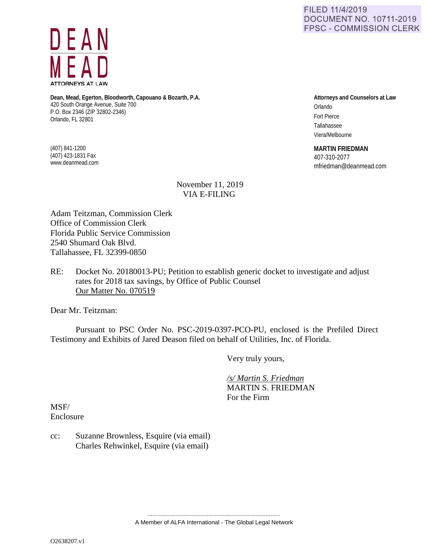FILED 11/4/2019 **DOCUMENT NO. 10711-2019 FPSC - COMMISSION CLERK** 



**Dean, Mead, Egerton, Bloodworth, Capouano & Bozarth, P.A.** 420 South Orange Avenue, Suite 700 P.O. Box 2346 (ZIP 32802-2346) Orlando, FL 32801

(407) 841-1200 (407) 423-1831 Fax www.deanmead.com

## **Attorneys and Counselors at Law** Orlando Fort Pierce Tallahassee

**MARTIN FRIEDMAN**

Viera/Melbourne

407-310-2077 mfriedman@deanmead.com

## November 11, 2019 VIA E-FILING

Adam Teitzman, Commission Clerk Office of Commission Clerk Florida Public Service Commission 2540 Shumard Oak Blvd. Tallahassee, FL 32399-0850

## RE: Docket No. 20180013-PU; Petition to establish generic docket to investigate and adjust rates for 2018 tax savings, by Office of Public Counsel Our Matter No. 070519

Dear Mr. Teitzman:

Pursuant to PSC Order No. PSC-2019-0397-PCO-PU, enclosed is the Prefiled Direct Testimony and Exhibits of Jared Deason filed on behalf of Utilities, Inc. of Florida.

Very truly yours,

 */s/ Martin S. Friedman*  MARTIN S. FRIEDMAN For the Firm

MSF/ Enclosure

cc: Suzanne Brownless, Esquire (via email) Charles Rehwinkel, Esquire (via email)

> ................................................................................. A Member of ALFA International - The Global Legal Network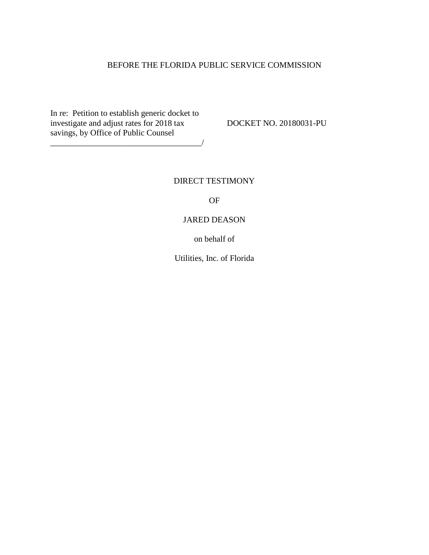## BEFORE THE FLORIDA PUBLIC SERVICE COMMISSION

In re: Petition to establish generic docket to investigate and adjust rates for 2018 tax DOCKET NO. 20180031-PU savings, by Office of Public Counsel

\_\_\_\_\_\_\_\_\_\_\_\_\_\_\_\_\_\_\_\_\_\_\_\_\_\_\_\_\_\_\_\_\_\_\_\_/

## DIRECT TESTIMONY

OF

#### JARED DEASON

on behalf of

Utilities, Inc. of Florida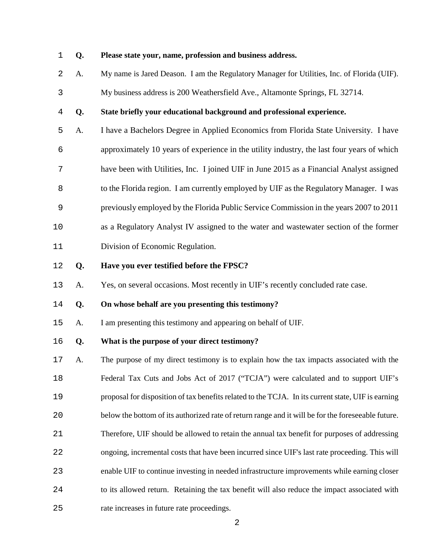#### **Q. Please state your, name, profession and business address.**

- A. My name is Jared Deason. I am the Regulatory Manager for Utilities, Inc. of Florida (UIF).
- My business address is 200 Weathersfield Ave., Altamonte Springs, FL 32714.

## **Q. State briefly your educational background and professional experience.**

- A. I have a Bachelors Degree in Applied Economics from Florida State University. I have approximately 10 years of experience in the utility industry, the last four years of which have been with Utilities, Inc. I joined UIF in June 2015 as a Financial Analyst assigned 8 to the Florida region. I am currently employed by UIF as the Regulatory Manager. I was previously employed by the Florida Public Service Commission in the years 2007 to 2011 as a Regulatory Analyst IV assigned to the water and wastewater section of the former
- Division of Economic Regulation.
- **Q. Have you ever testified before the FPSC?**
- A. Yes, on several occasions. Most recently in UIF's recently concluded rate case.
- **Q. On whose behalf are you presenting this testimony?**
- A. I am presenting this testimony and appearing on behalf of UIF.

#### **Q. What is the purpose of your direct testimony?**

- A. The purpose of my direct testimony is to explain how the tax impacts associated with the Federal Tax Cuts and Jobs Act of 2017 ("TCJA") were calculated and to support UIF's proposal for disposition of tax benefits related to the TCJA. In its current state, UIF is earning below the bottom of its authorized rate of return range and it will be for the foreseeable future. Therefore, UIF should be allowed to retain the annual tax benefit for purposes of addressing ongoing, incremental costs that have been incurred since UIF's last rate proceeding. This will enable UIF to continue investing in needed infrastructure improvements while earning closer to its allowed return. Retaining the tax benefit will also reduce the impact associated with
- rate increases in future rate proceedings.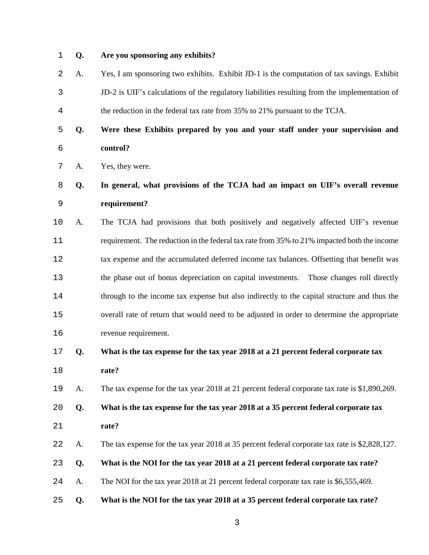#### **Q. Are you sponsoring any exhibits?**

- A. Yes, I am sponsoring two exhibits. Exhibit JD-1 is the computation of tax savings. Exhibit JD-2 is UIF's calculations of the regulatory liabilities resulting from the implementation of the reduction in the federal tax rate from 35% to 21% pursuant to the TCJA.
- **Q. Were these Exhibits prepared by you and your staff under your supervision and control?**
- A. Yes, they were.

# **Q. In general, what provisions of the TCJA had an impact on UIF's overall revenue requirement?**

A. The TCJA had provisions that both positively and negatively affected UIF's revenue requirement. The reduction in the federal tax rate from 35% to 21% impacted both the income tax expense and the accumulated deferred income tax balances. Offsetting that benefit was the phase out of bonus depreciation on capital investments. Those changes roll directly through to the income tax expense but also indirectly to the capital structure and thus the overall rate of return that would need to be adjusted in order to determine the appropriate revenue requirement.

## **Q. What is the tax expense for the tax year 2018 at a 21 percent federal corporate tax rate?**

- A. The tax expense for the tax year 2018 at 21 percent federal corporate tax rate is \$1,890,269.
- **Q. What is the tax expense for the tax year 2018 at a 35 percent federal corporate tax rate?**
- A. The tax expense for the tax year 2018 at 35 percent federal corporate tax rate is \$2,828,127.
- **Q. What is the NOI for the tax year 2018 at a 21 percent federal corporate tax rate?**
- A. The NOI for the tax year 2018 at 21 percent federal corporate tax rate is \$6,555,469.
- **Q. What is the NOI for the tax year 2018 at a 35 percent federal corporate tax rate?**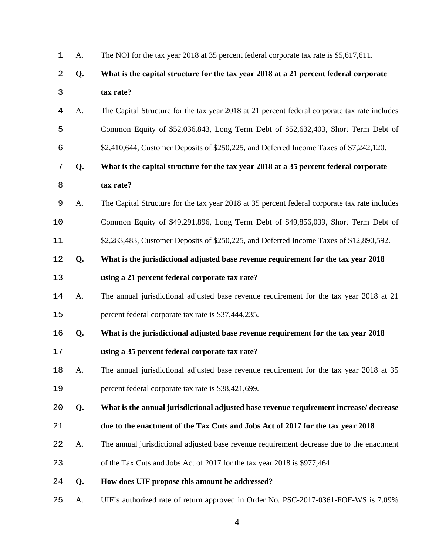| 1              | A. | The NOI for the tax year 2018 at 35 percent federal corporate tax rate is \$5,617,611.        |
|----------------|----|-----------------------------------------------------------------------------------------------|
| 2              | Q. | What is the capital structure for the tax year 2018 at a 21 percent federal corporate         |
| 3              |    | tax rate?                                                                                     |
| $\overline{4}$ | A. | The Capital Structure for the tax year 2018 at 21 percent federal corporate tax rate includes |
| 5              |    | Common Equity of \$52,036,843, Long Term Debt of \$52,632,403, Short Term Debt of             |
| 6              |    | \$2,410,644, Customer Deposits of \$250,225, and Deferred Income Taxes of \$7,242,120.        |
| 7              | Q. | What is the capital structure for the tax year 2018 at a 35 percent federal corporate         |
| 8              |    | tax rate?                                                                                     |
| 9              | A. | The Capital Structure for the tax year 2018 at 35 percent federal corporate tax rate includes |
| 10             |    | Common Equity of \$49,291,896, Long Term Debt of \$49,856,039, Short Term Debt of             |
| 11             |    | \$2,283,483, Customer Deposits of \$250,225, and Deferred Income Taxes of \$12,890,592.       |
| 12             | Q. | What is the jurisdictional adjusted base revenue requirement for the tax year 2018            |
| 13             |    | using a 21 percent federal corporate tax rate?                                                |
| 14             | A. | The annual jurisdictional adjusted base revenue requirement for the tax year 2018 at 21       |
| 15             |    | percent federal corporate tax rate is \$37,444,235.                                           |
| 16             | Q. | What is the jurisdictional adjusted base revenue requirement for the tax year 2018            |
| 17             |    | using a 35 percent federal corporate tax rate?                                                |
| 18             | A. | The annual jurisdictional adjusted base revenue requirement for the tax year 2018 at 35       |
| 19             |    | percent federal corporate tax rate is \$38,421,699.                                           |
| 20             | Q. | What is the annual jurisdictional adjusted base revenue requirement increase/decrease         |
| 21             |    | due to the enactment of the Tax Cuts and Jobs Act of 2017 for the tax year 2018               |
| 22             | A. | The annual jurisdictional adjusted base revenue requirement decrease due to the enactment     |
| 23             |    | of the Tax Cuts and Jobs Act of 2017 for the tax year 2018 is \$977,464.                      |
| 24             | Q. | How does UIF propose this amount be addressed?                                                |
| 25             | А. | UIF's authorized rate of return approved in Order No. PSC-2017-0361-FOF-WS is 7.09%           |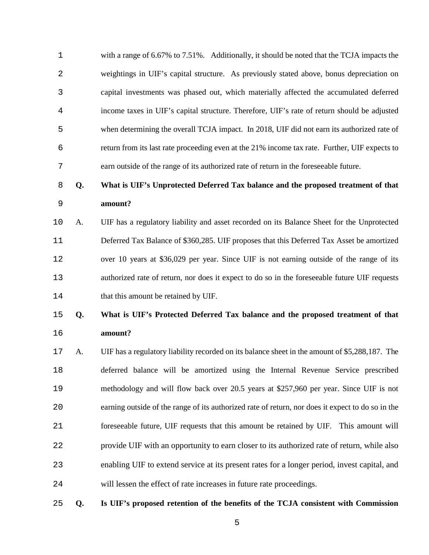| 1           |    | with a range of 6.67% to 7.51%. Additionally, it should be noted that the TCJA impacts the        |
|-------------|----|---------------------------------------------------------------------------------------------------|
| 2           |    | weightings in UIF's capital structure. As previously stated above, bonus depreciation on          |
| 3           |    | capital investments was phased out, which materially affected the accumulated deferred            |
| 4           |    | income taxes in UIF's capital structure. Therefore, UIF's rate of return should be adjusted       |
| 5           |    | when determining the overall TCJA impact. In 2018, UIF did not earn its authorized rate of        |
| 6           |    | return from its last rate proceeding even at the 21% income tax rate. Further, UIF expects to     |
| 7           |    | earn outside of the range of its authorized rate of return in the foreseeable future.             |
| 8           | Q. | What is UIF's Unprotected Deferred Tax balance and the proposed treatment of that                 |
| $\mathsf 9$ |    | amount?                                                                                           |
| 10          | A. | UIF has a regulatory liability and asset recorded on its Balance Sheet for the Unprotected        |
| 11          |    | Deferred Tax Balance of \$360,285. UIF proposes that this Deferred Tax Asset be amortized         |
| 12          |    | over 10 years at \$36,029 per year. Since UIF is not earning outside of the range of its          |
| 13          |    | authorized rate of return, nor does it expect to do so in the foreseeable future UIF requests     |
| 14          |    | that this amount be retained by UIF.                                                              |
| 15          | Q. | What is UIF's Protected Deferred Tax balance and the proposed treatment of that                   |
| 16          |    | amount?                                                                                           |
| $17$        | A. | UIF has a regulatory liability recorded on its balance sheet in the amount of \$5,288,187. The    |
| 18          |    | deferred balance will be amortized using the Internal Revenue Service prescribed                  |
| 19          |    | methodology and will flow back over 20.5 years at \$257,960 per year. Since UIF is not            |
| 20          |    | earning outside of the range of its authorized rate of return, nor does it expect to do so in the |
| 21          |    | foreseeable future, UIF requests that this amount be retained by UIF. This amount will            |
| 22          |    | provide UIF with an opportunity to earn closer to its authorized rate of return, while also       |
| 23          |    | enabling UIF to extend service at its present rates for a longer period, invest capital, and      |
| 24          |    | will lessen the effect of rate increases in future rate proceedings.                              |
|             |    |                                                                                                   |

**Q. Is UIF's proposed retention of the benefits of the TCJA consistent with Commission**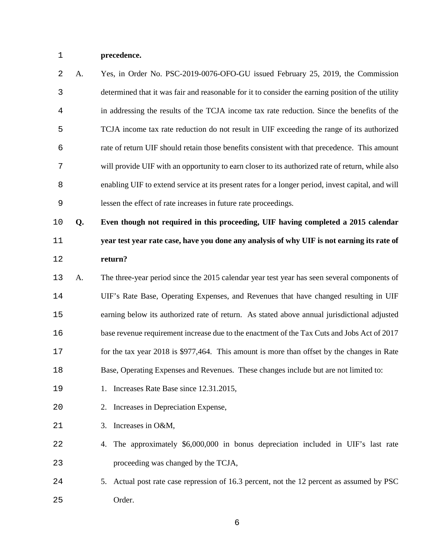**precedence.**

| $\mathcal{L}$  | A. | Yes, in Order No. PSC-2019-0076-OFO-GU issued February 25, 2019, the Commission                   |
|----------------|----|---------------------------------------------------------------------------------------------------|
| $\mathbf{3}$   |    | determined that it was fair and reasonable for it to consider the earning position of the utility |
| $\overline{4}$ |    | in addressing the results of the TCJA income tax rate reduction. Since the benefits of the        |
| 5              |    | TCJA income tax rate reduction do not result in UIF exceeding the range of its authorized         |
| 6              |    | rate of return UIF should retain those benefits consistent with that precedence. This amount      |
| 7              |    | will provide UIF with an opportunity to earn closer to its authorized rate of return, while also  |
| 8              |    | enabling UIF to extend service at its present rates for a longer period, invest capital, and will |
| 9              |    | lessen the effect of rate increases in future rate proceedings.                                   |

**Q. Even though not required in this proceeding, UIF having completed a 2015 calendar year test year rate case, have you done any analysis of why UIF is not earning its rate of return?**

- A. The three-year period since the 2015 calendar year test year has seen several components of UIF's Rate Base, Operating Expenses, and Revenues that have changed resulting in UIF earning below its authorized rate of return. As stated above annual jurisdictional adjusted base revenue requirement increase due to the enactment of the Tax Cuts and Jobs Act of 2017 for the tax year 2018 is \$977,464. This amount is more than offset by the changes in Rate Base, Operating Expenses and Revenues. These changes include but are not limited to:
- 1. Increases Rate Base since 12.31.2015,
- 2. Increases in Depreciation Expense,
- 3. Increases in O&M,
- 4. The approximately \$6,000,000 in bonus depreciation included in UIF's last rate proceeding was changed by the TCJA,
- 5. Actual post rate case repression of 16.3 percent, not the 12 percent as assumed by PSC Order.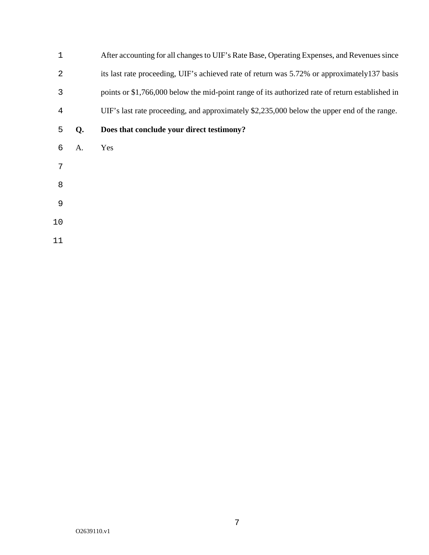| 1              |    | After accounting for all changes to UIF's Rate Base, Operating Expenses, and Revenues since     |
|----------------|----|-------------------------------------------------------------------------------------------------|
| $\overline{2}$ |    | its last rate proceeding, UIF's achieved rate of return was 5.72% or approximately137 basis     |
| 3              |    | points or \$1,766,000 below the mid-point range of its authorized rate of return established in |
| 4              |    | UIF's last rate proceeding, and approximately \$2,235,000 below the upper end of the range.     |
| 5              | Q. | Does that conclude your direct testimony?                                                       |
| 6              | A. | Yes                                                                                             |
| 7              |    |                                                                                                 |
| 8              |    |                                                                                                 |
| 9              |    |                                                                                                 |
| 10             |    |                                                                                                 |
| 11             |    |                                                                                                 |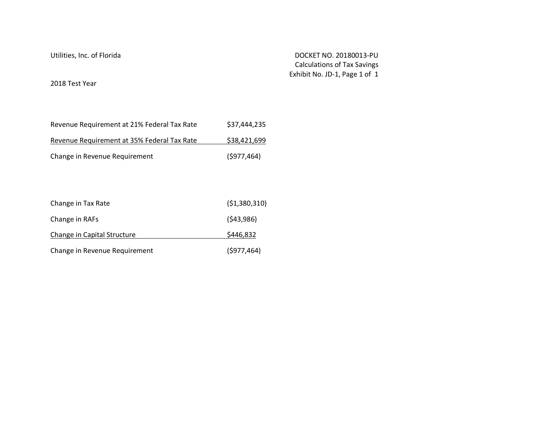Utilities, Inc. of Florida DOCKET NO. 20180013-PU Calculations of Tax Savings Exhibit No. JD-1, Page 1 of 1

2018 Test Year

| Revenue Requirement at 21% Federal Tax Rate | \$37,444,235 |
|---------------------------------------------|--------------|
| Revenue Requirement at 35% Federal Tax Rate | \$38,421,699 |
| Change in Revenue Requirement               | (5977, 464)  |

| Change in Tax Rate            | (51,380,310) |
|-------------------------------|--------------|
| Change in RAFs                | (543,986)    |
| Change in Capital Structure   | \$446,832    |
| Change in Revenue Requirement | (5977, 464)  |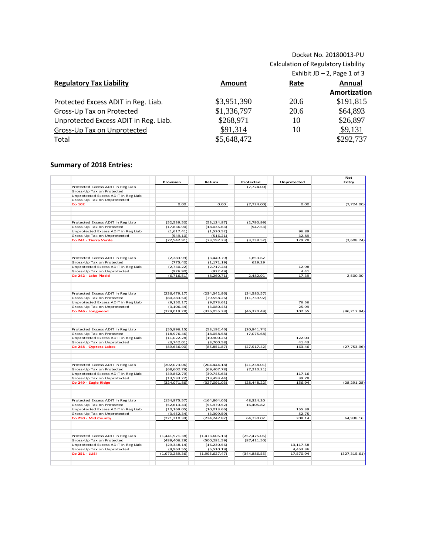## Docket No. 20180013-PU Calculation of Regulatory Liability

|                                       |               | Exhibit JD $-$ 2, Page 1 of 3 |              |  |  |
|---------------------------------------|---------------|-------------------------------|--------------|--|--|
| <b>Regulatory Tax Liability</b>       | <b>Amount</b> | Rate                          | Annual       |  |  |
|                                       |               |                               | Amortization |  |  |
| Protected Excess ADIT in Reg. Liab.   | \$3,951,390   | 20.6                          | \$191,815    |  |  |
| Gross-Up Tax on Protected             | \$1,336,797   | 20.6                          | \$64,893     |  |  |
| Unprotected Excess ADIT in Reg. Liab. | \$268,971     | 10                            | \$26,897     |  |  |
| Gross-Up Tax on Unprotected           | \$91,314      | 10                            | \$9,131      |  |  |
| Total                                 | \$5,648,472   |                               | \$292,737    |  |  |

## **Summary of 2018 Entries:**

|                                                                  |                              |                              |               |                       | <b>Net</b>    |
|------------------------------------------------------------------|------------------------------|------------------------------|---------------|-----------------------|---------------|
|                                                                  | Provision                    | Return                       | Protected     | Unprotected           | Entry         |
| Protected Excess ADIT in Reg Liab                                |                              |                              | (7,724.00)    |                       |               |
| Gross-Up Tax on Protected                                        |                              |                              |               |                       |               |
| Unprotected Excess ADIT in Reg Liab                              |                              |                              |               |                       |               |
| Gross-Up Tax on Unprotected                                      |                              |                              |               |                       |               |
| Co 102                                                           | 0.00                         | 0.00                         | (7,724.00)    | 0.00                  | (7,724.00)    |
|                                                                  |                              |                              |               |                       |               |
|                                                                  |                              |                              |               |                       |               |
| Protected Excess ADIT in Reg Liab                                | (52, 539.50)                 | (53, 124.87)                 | (2,790.99)    |                       |               |
| Gross-Up Tax on Protected                                        | (17,836.90)                  | (18,035.63)                  | (947.53)      |                       |               |
| Unprotected Excess ADIT in Reg Liab                              | (1,617.41)                   | (1,520.52)                   |               | 96.89                 |               |
| Gross-Up Tax on Unprotected                                      | (549.10)                     | (516.21)                     |               | 32.89                 |               |
| Co 241 - Tierra Verde                                            | (72, 542.91)                 | (73, 197.23)                 | (3,738.52)    | 129.78                | (3,608.74)    |
|                                                                  |                              |                              |               |                       |               |
| Protected Excess ADIT in Reg Liab                                | (2, 283.99)                  | (3,449.79)                   | 1.853.62      |                       |               |
| Gross-Up Tax on Protected                                        | (775.40)                     | (1, 171.19)                  | 629.29        |                       |               |
| Unprotected Excess ADIT in Reg Liab                              | (2,730.22)                   | (2,717.24)                   |               | 12.98                 |               |
| Gross-Up Tax on Unprotected                                      | (926.90)                     | (922.49)                     |               | 4.41                  |               |
| Co 242 - Lake Placid                                             | (6,716.51)                   | (8, 260.71)                  | 2,482.91      | 17.39                 | 2,500.30      |
|                                                                  |                              |                              |               |                       |               |
| Protected Excess ADIT in Reg Liab                                | (236, 479.17)                | (234, 342.96)                | (34,580.57)   |                       |               |
| Gross-Up Tax on Protected                                        | (80, 283.50)                 | (79, 558.26)                 | (11,739.92)   |                       |               |
| Unprotected Excess ADIT in Reg Liab                              | (9, 150.17)                  | (9,073.61)                   |               | 76.56                 |               |
| Gross-Up Tax on Unprotected                                      | (3, 106.44)                  | (3,080.45)                   |               | 25.99                 |               |
| Co 246 - Longwood                                                | (329, 019.28)                | (326, 055.28)                | (46, 320.49)  | 102.55                | (46, 217.94)  |
|                                                                  |                              |                              |               |                       |               |
| Protected Excess ADIT in Reg Liab                                | (55,896.15)                  | (53, 192.46)                 | (20, 841.74)  |                       |               |
| Gross-Up Tax on Protected                                        | (18,976.46)                  | (18,058.58)                  | (7,075.68)    |                       |               |
| Unprotected Excess ADIT in Reg Liab                              | (11,022.28)                  | (10,900.25)                  |               | 122.03                |               |
| Gross-Up Tax on Unprotected                                      | (3,742.01)                   | (3,700.58)                   |               | 41.43                 |               |
| Co 248 - Cypress Lakes                                           | (89,636.90)                  | (85, 851.87)                 | (27, 917.42)  | 163.46                | (27,753.96)   |
|                                                                  |                              |                              |               |                       |               |
| Protected Excess ADIT in Reg Liab                                | (202,073.06)                 | (204, 444.18)                | (21, 238.01)  |                       |               |
| Gross-Up Tax on Protected                                        | (68, 602.79)                 | (69, 407.78)                 | (7,210.21)    |                       |               |
| Unprotected Excess ADIT in Reg Liab                              | (39, 862.79)                 | (39, 745.63)                 |               | 117.16                |               |
| Gross-Up Tax on Unprotected                                      | (13,533.22)                  | (13, 493.44)                 |               | 39.78                 |               |
| Co 249 - Eagle Ridge                                             | (324,071.86)                 | (327,091.03)                 | (28, 448.22)  | 156.94                | (28, 291.28)  |
|                                                                  |                              |                              |               |                       |               |
| Protected Excess ADIT in Reg Liab                                | (154, 975.57)                | (164, 864.05)                | 48,324.20     |                       |               |
| Gross-Up Tax on Protected                                        | (52, 613.43)                 | (55,970.52)                  | 16,405.82     |                       |               |
| Unprotected Excess ADIT in Reg Liab                              | (10, 169.05)                 | (10,013.66)                  |               | 155.39                |               |
| Gross-Up Tax on Unprotected                                      | (3,452.34)                   | (3,399.59)                   |               | 52.75                 |               |
| Co 250 - Mid County                                              | (221, 210.39)                | (234, 247.82)                | 64,730.02     | 208.14                | 64,938.16     |
|                                                                  |                              |                              |               |                       |               |
| Protected Excess ADIT in Reg Liab                                | (1,441,571.38)               | (1,473,605.13)               | (257, 475.05) |                       |               |
|                                                                  | (489, 406.29)                | (500, 281.59)                | (87, 411.50)  |                       |               |
|                                                                  |                              |                              |               |                       |               |
| Gross-Up Tax on Protected<br>Unprotected Excess ADIT in Reg Liab | (29, 348.14)                 | (16, 230.56)                 |               | 13,117.58             |               |
| Gross-Up Tax on Unprotected<br><b>Co 251 - LUSI</b>              | (9,963.55)<br>(1,970,289.36) | (5,510.19)<br>(1,995,627.47) | (344, 886.55) | 4,453.36<br>17,570.94 | (327, 315.61) |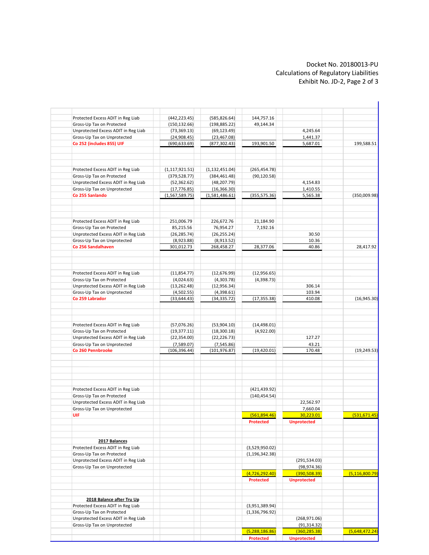#### Docket No. 20180013-PU Calculations of Regulatory Liabilities Exhibit No. JD-2, Page 2 of 3

| 199,588.51<br>(350,009.98)<br>28,417.92<br>(16, 945.30) |
|---------------------------------------------------------|
|                                                         |
|                                                         |
|                                                         |
|                                                         |
|                                                         |
|                                                         |
|                                                         |
|                                                         |
|                                                         |
|                                                         |
|                                                         |
|                                                         |
|                                                         |
|                                                         |
|                                                         |
|                                                         |
|                                                         |
|                                                         |
|                                                         |
|                                                         |
|                                                         |
|                                                         |
|                                                         |
|                                                         |
|                                                         |
|                                                         |
|                                                         |
|                                                         |
| (19, 249.53)                                            |
|                                                         |
|                                                         |
|                                                         |
|                                                         |
|                                                         |
|                                                         |
| (531, 671.45)                                           |
|                                                         |
|                                                         |
|                                                         |
|                                                         |
|                                                         |
|                                                         |
| (5, 116, 800.79)                                        |
|                                                         |
|                                                         |
|                                                         |
|                                                         |
|                                                         |
|                                                         |
| (5,648,472.24)                                          |
|                                                         |
|                                                         |